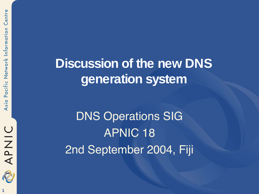Centre



### **Discussion of the new DNS generation system**

**DNS Operations SIG** APNIC 18 2nd September 2004, Fiji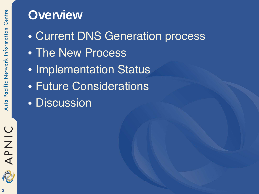#### **Overview**

- Current DNS Generation process
- The New Process
- Implementation Status
- Future Considerations
- Discussion

APNIC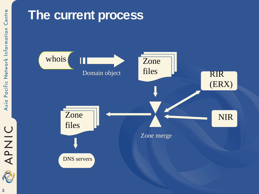## DINAP

### **The current process**

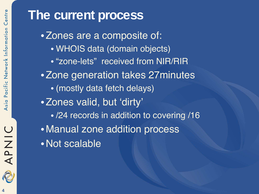### **The current process**

•Zones are a composite of: • WHOIS data (domain objects) • "zone-lets" received from NIR/RIR •Zone generation takes 27minutes • (mostly data fetch delays) •Zones valid, but 'dirty' • /24 records in addition to covering /16 • Manual zone addition process •Not scalable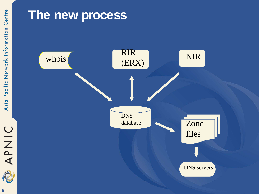# DINAP

### **The new process**

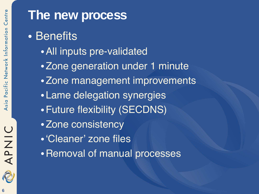

APNIC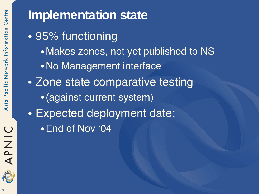### APNIC 2 **7**

### **Implementation state**

- 95% functioning • Makes zones, not yet published to NS •No Management interface • Zone state comparative testing
	- •(against current system)
- Expected deployment date:
	- •End of Nov '04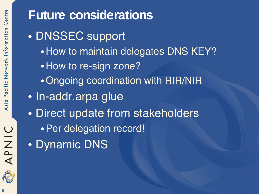**Future considerations** • DNSSEC support • How to maintain delegates DNS KEY? • How to re-sign zone? •Ongoing coordination with RIR/NIR • In-addr.arpa glue • Direct update from stakeholders •Per delegation record! • Dynamic DNS



APNIC